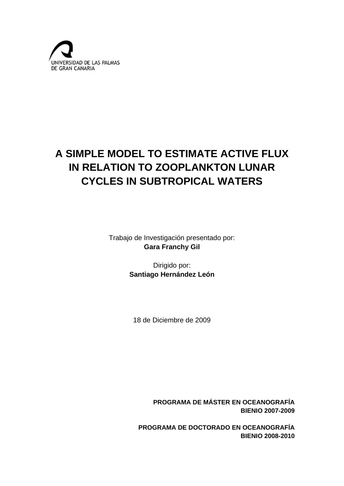

# **A SIMPLE MODEL TO ESTIMATE ACTIVE FLUX IN RELATION TO ZOOPLANKTON LUNAR CYCLES IN SUBTROPICAL WATERS**

Trabajo de Investigación presentado por: **Gara Franchy Gil** 

> Dirigido por: **Santiago Hernández León**

18 de Diciembre de 2009

**PROGRAMA DE MÁSTER EN OCEANOGRAFÍA BIENIO 2007-2009** 

**PROGRAMA DE DOCTORADO EN OCEANOGRAFÍA BIENIO 2008-2010**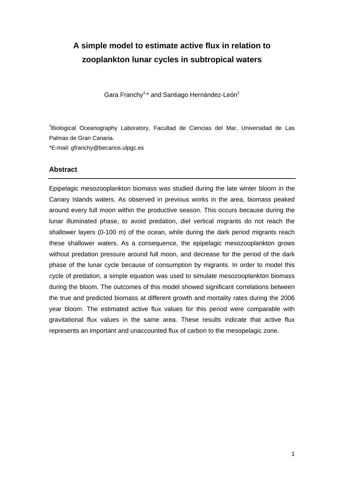## **A simple model to estimate active flux in relation to zooplankton lunar cycles in subtropical waters**

Gara Franchy<sup>1,\*</sup> and Santiago Hernández-León<sup>1</sup>

<sup>1</sup>Biological Oceanography Laboratory, Facultad de Ciencias del Mar, Universidad de Las Palmas de Gran Canaria.

\*E-mail: gfranchy@becarios.ulpgc.es

#### **Abstract**

Epipelagic mesozooplankton biomass was studied during the late winter bloom in the Canary Islands waters. As observed in previous works in the area, biomass peaked around every full moon within the productive season. This occurs because during the lunar illuminated phase, to avoid predation, diel vertical migrants do not reach the shallower layers (0-100 m) of the ocean, while during the dark period migrants reach these shallower waters. As a consequence, the epipelagic mesozooplankton grows without predation pressure around full moon, and decrease for the period of the dark phase of the lunar cycle because of consumption by migrants. In order to model this cycle of predation, a simple equation was used to simulate mesozooplankton biomass during the bloom. The outcomes of this model showed significant correlations between the true and predicted biomass at different growth and mortality rates during the 2006 year bloom. The estimated active flux values for this period were comparable with gravitational flux values in the same area. These results indicate that active flux represents an important and unaccounted flux of carbon to the mesopelagic zone.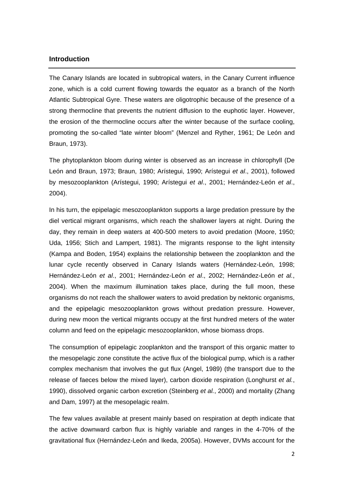#### **Introduction**

The Canary Islands are located in subtropical waters, in the Canary Current influence zone, which is a cold current flowing towards the equator as a branch of the North Atlantic Subtropical Gyre. These waters are oligotrophic because of the presence of a strong thermocline that prevents the nutrient diffusion to the euphotic layer. However, the erosion of the thermocline occurs after the winter because of the surface cooling, promoting the so-called "late winter bloom" (Menzel and Ryther, 1961; De León and Braun, 1973).

The phytoplankton bloom during winter is observed as an increase in chlorophyll (De León and Braun, 1973; Braun, 1980; Arístegui, 1990; Arístegui *et al*., 2001), followed by mesozooplankton (Arístegui, 1990; Arístegui *et al*., 2001; Hernández-León *et al*., 2004).

In his turn, the epipelagic mesozooplankton supports a large predation pressure by the diel vertical migrant organisms, which reach the shallower layers at night. During the day, they remain in deep waters at 400-500 meters to avoid predation (Moore, 1950; Uda, 1956; Stich and Lampert, 1981). The migrants response to the light intensity (Kampa and Boden, 1954) explains the relationship between the zooplankton and the lunar cycle recently observed in Canary Islands waters (Hernández-León, 1998; Hernández-León *et al*., 2001; Hernández-León *et al*., 2002; Hernández-León *et al.*, 2004). When the maximum illumination takes place, during the full moon, these organisms do not reach the shallower waters to avoid predation by nektonic organisms, and the epipelagic mesozooplankton grows without predation pressure. However, during new moon the vertical migrants occupy at the first hundred meters of the water column and feed on the epipelagic mesozooplankton, whose biomass drops.

The consumption of epipelagic zooplankton and the transport of this organic matter to the mesopelagic zone constitute the active flux of the biological pump, which is a rather complex mechanism that involves the gut flux (Angel, 1989) (the transport due to the release of faeces below the mixed layer), carbon dioxide respiration (Longhurst *et al.*, 1990), dissolved organic carbon excretion (Steinberg *et al.*, 2000) and mortality (Zhang and Dam, 1997) at the mesopelagic realm.

The few values available at present mainly based on respiration at depth indicate that the active downward carbon flux is highly variable and ranges in the 4-70% of the gravitational flux (Hernández-León and Ikeda, 2005a). However, DVMs account for the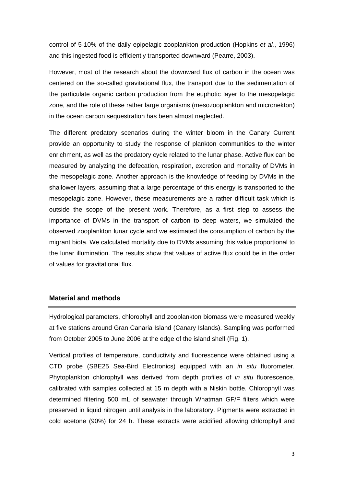control of 5-10% of the daily epipelagic zooplankton production (Hopkins *et al.*, 1996) and this ingested food is efficiently transported downward (Pearre, 2003).

However, most of the research about the downward flux of carbon in the ocean was centered on the so-called gravitational flux, the transport due to the sedimentation of the particulate organic carbon production from the euphotic layer to the mesopelagic zone, and the role of these rather large organisms (mesozooplankton and micronekton) in the ocean carbon sequestration has been almost neglected.

The different predatory scenarios during the winter bloom in the Canary Current provide an opportunity to study the response of plankton communities to the winter enrichment, as well as the predatory cycle related to the lunar phase. Active flux can be measured by analyzing the defecation, respiration, excretion and mortality of DVMs in the mesopelagic zone. Another approach is the knowledge of feeding by DVMs in the shallower layers, assuming that a large percentage of this energy is transported to the mesopelagic zone. However, these measurements are a rather difficult task which is outside the scope of the present work. Therefore, as a first step to assess the importance of DVMs in the transport of carbon to deep waters, we simulated the observed zooplankton lunar cycle and we estimated the consumption of carbon by the migrant biota. We calculated mortality due to DVMs assuming this value proportional to the lunar illumination. The results show that values of active flux could be in the order of values for gravitational flux.

#### **Material and methods**

Hydrological parameters, chlorophyll and zooplankton biomass were measured weekly at five stations around Gran Canaria Island (Canary Islands). Sampling was performed from October 2005 to June 2006 at the edge of the island shelf (Fig. 1).

Vertical profiles of temperature, conductivity and fluorescence were obtained using a CTD probe (SBE25 Sea-Bird Electronics) equipped with an *in situ* fluorometer. Phytoplankton chlorophyll was derived from depth profiles of *in situ* fluorescence, calibrated with samples collected at 15 m depth with a Niskin bottle. Chlorophyll was determined filtering 500 mL of seawater through Whatman GF/F filters which were preserved in liquid nitrogen until analysis in the laboratory. Pigments were extracted in cold acetone (90%) for 24 h. These extracts were acidified allowing chlorophyll and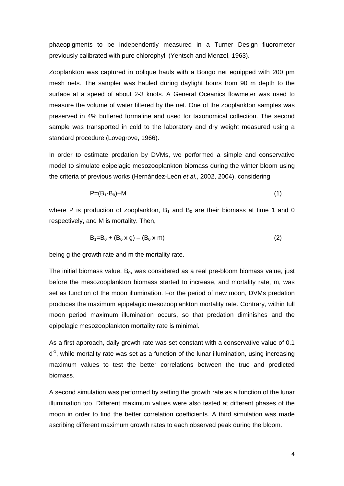phaeopigments to be independently measured in a Turner Design fluorometer previously calibrated with pure chlorophyll (Yentsch and Menzel, 1963).

Zooplankton was captured in oblique hauls with a Bongo net equipped with 200 µm mesh nets. The sampler was hauled during daylight hours from 90 m depth to the surface at a speed of about 2-3 knots. A General Oceanics flowmeter was used to measure the volume of water filtered by the net. One of the zooplankton samples was preserved in 4% buffered formaline and used for taxonomical collection. The second sample was transported in cold to the laboratory and dry weight measured using a standard procedure (Lovegrove, 1966).

In order to estimate predation by DVMs, we performed a simple and conservative model to simulate epipelagic mesozooplankton biomass during the winter bloom using the criteria of previous works (Hernández-León *et al.*, 2002, 2004), considering

$$
P=(B_1-B_0)+M
$$
 (1)

where P is production of zooplankton,  $B_1$  and  $B_0$  are their biomass at time 1 and 0 respectively, and M is mortality. Then,

$$
B_1 = B_0 + (B_0 \times g) - (B_0 \times m) \tag{2}
$$

being g the growth rate and m the mortality rate.

The initial biomass value,  $B_0$ , was considered as a real pre-bloom biomass value, just before the mesozooplankton biomass started to increase, and mortality rate, m, was set as function of the moon illumination. For the period of new moon, DVMs predation produces the maximum epipelagic mesozooplankton mortality rate. Contrary, within full moon period maximum illumination occurs, so that predation diminishes and the epipelagic mesozooplankton mortality rate is minimal.

As a first approach, daily growth rate was set constant with a conservative value of 0.1  $d<sup>-1</sup>$ , while mortality rate was set as a function of the lunar illumination, using increasing maximum values to test the better correlations between the true and predicted biomass.

A second simulation was performed by setting the growth rate as a function of the lunar illumination too. Different maximum values were also tested at different phases of the moon in order to find the better correlation coefficients. A third simulation was made ascribing different maximum growth rates to each observed peak during the bloom.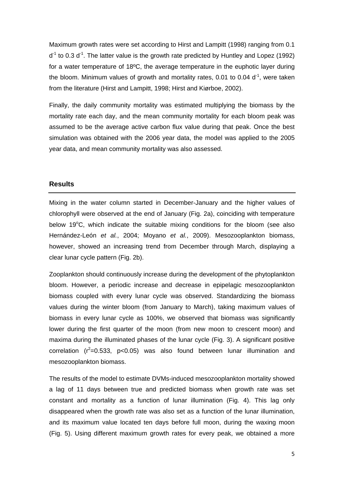Maximum growth rates were set according to Hirst and Lampitt (1998) ranging from 0.1  $d<sup>-1</sup>$  to 0.3  $d<sup>-1</sup>$ . The latter value is the growth rate predicted by Huntley and Lopez (1992) for a water temperature of 18ºC, the average temperature in the euphotic layer during the bloom. Minimum values of growth and mortality rates, 0.01 to 0.04  $d<sup>-1</sup>$ , were taken from the literature (Hirst and Lampitt, 1998; Hirst and Kiørboe, 2002).

Finally, the daily community mortality was estimated multiplying the biomass by the mortality rate each day, and the mean community mortality for each bloom peak was assumed to be the average active carbon flux value during that peak. Once the best simulation was obtained with the 2006 year data, the model was applied to the 2005 year data, and mean community mortality was also assessed.

#### **Results**

Mixing in the water column started in December-January and the higher values of chlorophyll were observed at the end of January (Fig. 2a), coinciding with temperature below 19°C, which indicate the suitable mixing conditions for the bloom (see also Hernández-León *et al.*, 2004; Moyano *et al.*, 2009). Mesozooplankton biomass, however, showed an increasing trend from December through March, displaying a clear lunar cycle pattern (Fig. 2b).

Zooplankton should continuously increase during the development of the phytoplankton bloom. However, a periodic increase and decrease in epipelagic mesozooplankton biomass coupled with every lunar cycle was observed. Standardizing the biomass values during the winter bloom (from January to March), taking maximum values of biomass in every lunar cycle as 100%, we observed that biomass was significantly lower during the first quarter of the moon (from new moon to crescent moon) and maxima during the illuminated phases of the lunar cycle (Fig. 3). A significant positive correlation  $(r^2=0.533, p<0.05)$  was also found between lunar illumination and mesozooplankton biomass.

The results of the model to estimate DVMs-induced mesozooplankton mortality showed a lag of 11 days between true and predicted biomass when growth rate was set constant and mortality as a function of lunar illumination (Fig. 4). This lag only disappeared when the growth rate was also set as a function of the lunar illumination, and its maximum value located ten days before full moon, during the waxing moon (Fig. 5). Using different maximum growth rates for every peak, we obtained a more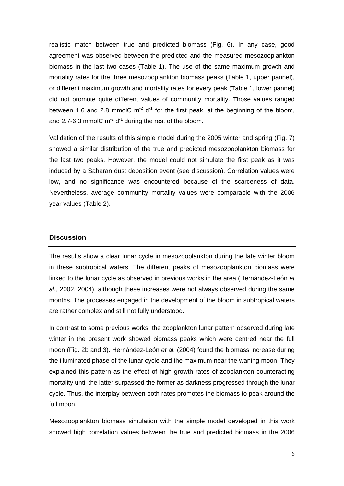realistic match between true and predicted biomass (Fig. 6). In any case, good agreement was observed between the predicted and the measured mesozooplankton biomass in the last two cases (Table 1). The use of the same maximum growth and mortality rates for the three mesozooplankton biomass peaks (Table 1, upper pannel), or different maximum growth and mortality rates for every peak (Table 1, lower pannel) did not promote quite different values of community mortality. Those values ranged between 1.6 and 2.8 mmolC  $m<sup>2</sup> d<sup>-1</sup>$  for the first peak, at the beginning of the bloom, and 2.7-6.3 mmolC  $m<sup>-2</sup> d<sup>-1</sup>$  during the rest of the bloom.

Validation of the results of this simple model during the 2005 winter and spring (Fig. 7) showed a similar distribution of the true and predicted mesozooplankton biomass for the last two peaks. However, the model could not simulate the first peak as it was induced by a Saharan dust deposition event (see discussion). Correlation values were low, and no significance was encountered because of the scarceness of data. Nevertheless, average community mortality values were comparable with the 2006 year values (Table 2).

#### **Discussion**

The results show a clear lunar cycle in mesozooplankton during the late winter bloom in these subtropical waters. The different peaks of mesozooplankton biomass were linked to the lunar cycle as observed in previous works in the area (Hernández-León *et al.*, 2002, 2004), although these increases were not always observed during the same months. The processes engaged in the development of the bloom in subtropical waters are rather complex and still not fully understood.

In contrast to some previous works, the zooplankton lunar pattern observed during late winter in the present work showed biomass peaks which were centred near the full moon (Fig. 2b and 3). Hernández-León *et al.* (2004) found the biomass increase during the illuminated phase of the lunar cycle and the maximum near the waning moon. They explained this pattern as the effect of high growth rates of zooplankton counteracting mortality until the latter surpassed the former as darkness progressed through the lunar cycle. Thus, the interplay between both rates promotes the biomass to peak around the full moon.

Mesozooplankton biomass simulation with the simple model developed in this work showed high correlation values between the true and predicted biomass in the 2006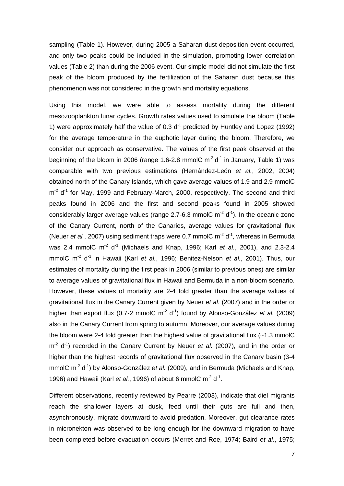sampling (Table 1). However, during 2005 a Saharan dust deposition event occurred, and only two peaks could be included in the simulation, promoting lower correlation values (Table 2) than during the 2006 event. Our simple model did not simulate the first peak of the bloom produced by the fertilization of the Saharan dust because this phenomenon was not considered in the growth and mortality equations.

Using this model, we were able to assess mortality during the different mesozooplankton lunar cycles. Growth rates values used to simulate the bloom (Table 1) were approximately half the value of 0.3  $d<sup>-1</sup>$  predicted by Huntley and Lopez (1992) for the average temperature in the euphotic layer during the bloom. Therefore, we consider our approach as conservative. The values of the first peak observed at the beginning of the bloom in 2006 (range 1.6-2.8 mmolC  $m^2 d^1$  in January, Table 1) was comparable with two previous estimations (Hernández-León *et al.*, 2002, 2004) obtained north of the Canary Islands, which gave average values of 1.9 and 2.9 mmolC  $m<sup>2</sup> d<sup>-1</sup>$  for May, 1999 and February-March, 2000, respectively. The second and third peaks found in 2006 and the first and second peaks found in 2005 showed considerably larger average values (range 2.7-6.3 mmolC  $m^2 d^1$ ). In the oceanic zone of the Canary Current, north of the Canaries, average values for gravitational flux (Neuer *et al.*, 2007) using sediment traps were 0.7 mmolC  $m<sup>2</sup> d<sup>-1</sup>$ , whereas in Bermuda was 2.4 mmolC m<sup>-2</sup> d<sup>-1</sup> (Michaels and Knap, 1996; Karl *et al.*, 2001), and 2.3-2.4 mmolC m<sup>-2</sup> d<sup>-1</sup> in Hawaii (Karl *et al.*, 1996; Benitez-Nelson *et al.*, 2001). Thus, our estimates of mortality during the first peak in 2006 (similar to previous ones) are similar to average values of gravitational flux in Hawaii and Bermuda in a non-bloom scenario. However, these values of mortality are 2-4 fold greater than the average values of gravitational flux in the Canary Current given by Neuer *et al.* (2007) and in the order or higher than export flux (0.7-2 mmolC m<sup>-2</sup> d<sup>-1</sup>) found by Alonso-González *et al.* (2009) also in the Canary Current from spring to autumn. Moreover, our average values during the bloom were 2-4 fold greater than the highest value of gravitational flux  $(-1.3 \text{ mmolC})$ m<sup>-2</sup> d<sup>-1</sup>) recorded in the Canary Current by Neuer *et al.* (2007), and in the order or higher than the highest records of gravitational flux observed in the Canary basin (3-4 mmolC m<sup>-2</sup> d<sup>-1</sup>) by Alonso-González *et al.* (2009), and in Bermuda (Michaels and Knap, 1996) and Hawaii (Karl *et al.*, 1996) of about 6 mmolC m<sup>-2</sup> d<sup>-1</sup>.

Different observations, recently reviewed by Pearre (2003), indicate that diel migrants reach the shallower layers at dusk, feed until their guts are full and then, asynchronously, migrate downward to avoid predation. Moreover, gut clearance rates in micronekton was observed to be long enough for the downward migration to have been completed before evacuation occurs (Merret and Roe, 1974; Baird *et al.*, 1975;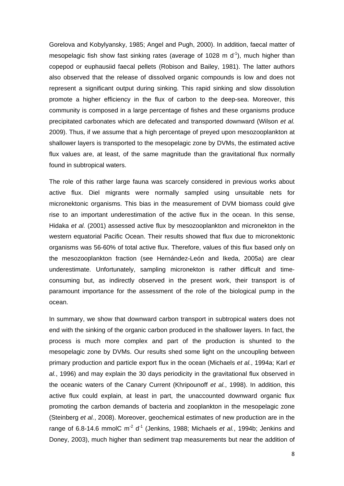Gorelova and Kobylyansky, 1985; Angel and Pugh, 2000). In addition, faecal matter of mesopelagic fish show fast sinking rates (average of 1028 m  $d^{-1}$ ), much higher than copepod or euphausiid faecal pellets (Robison and Bailey, 1981). The latter authors also observed that the release of dissolved organic compounds is low and does not represent a significant output during sinking. This rapid sinking and slow dissolution promote a higher efficiency in the flux of carbon to the deep-sea. Moreover, this community is composed in a large percentage of fishes and these organisms produce precipitated carbonates which are defecated and transported downward (Wilson *et al.* 2009). Thus, if we assume that a high percentage of preyed upon mesozooplankton at shallower layers is transported to the mesopelagic zone by DVMs, the estimated active flux values are, at least, of the same magnitude than the gravitational flux normally found in subtropical waters.

The role of this rather large fauna was scarcely considered in previous works about active flux. Diel migrants were normally sampled using unsuitable nets for micronektonic organisms. This bias in the measurement of DVM biomass could give rise to an important underestimation of the active flux in the ocean. In this sense, Hidaka *et al.* (2001) assessed active flux by mesozooplankton and micronekton in the western equatorial Pacific Ocean. Their results showed that flux due to micronektonic organisms was 56-60% of total active flux. Therefore, values of this flux based only on the mesozooplankton fraction (see Hernández-León and Ikeda, 2005a) are clear underestimate. Unfortunately, sampling micronekton is rather difficult and timeconsuming but, as indirectly observed in the present work, their transport is of paramount importance for the assessment of the role of the biological pump in the ocean.

In summary, we show that downward carbon transport in subtropical waters does not end with the sinking of the organic carbon produced in the shallower layers. In fact, the process is much more complex and part of the production is shunted to the mesopelagic zone by DVMs. Our results shed some light on the uncoupling between primary production and particle export flux in the ocean (Michaels *et al.*, 1994a; Karl *et al.*, 1996) and may explain the 30 days periodicity in the gravitational flux observed in the oceanic waters of the Canary Current (Khripounoff *et al.*, 1998). In addition, this active flux could explain, at least in part, the unaccounted downward organic flux promoting the carbon demands of bacteria and zooplankton in the mesopelagic zone (Steinberg *et al.*, 2008). Moreover, geochemical estimates of new production are in the range of 6.8-14.6 mmolC  $m^2 d^1$  (Jenkins, 1988; Michaels *et al.*, 1994b; Jenkins and Doney, 2003), much higher than sediment trap measurements but near the addition of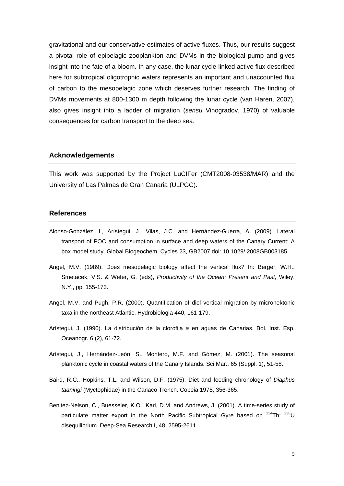gravitational and our conservative estimates of active fluxes. Thus, our results suggest a pivotal role of epipelagic zooplankton and DVMs in the biological pump and gives insight into the fate of a bloom. In any case, the lunar cycle-linked active flux described here for subtropical oligotrophic waters represents an important and unaccounted flux of carbon to the mesopelagic zone which deserves further research. The finding of DVMs movements at 800-1300 m depth following the lunar cycle (van Haren, 2007), also gives insight into a ladder of migration (*sensu* Vinogradov, 1970) of valuable consequences for carbon transport to the deep sea.

#### **Acknowledgements**

This work was supported by the Project LuCIFer (CMT2008‐03538/MAR) and the University of Las Palmas de Gran Canaria (ULPGC).

#### **References**

- Alonso-González. I., Arístegui, J., Vilas, J.C. and Hernández-Guerra, A. (2009). Lateral transport of POC and consumption in surface and deep waters of the Canary Current: A box model study. Global Biogeochem. Cycles 23, GB2007 doi: 10.1029/ 2008GB003185.
- Angel, M.V. (1989). Does mesopelagic biology affect the vertical flux? In: Berger, W.H., Smetacek, V.S. & Wefer, G. (eds), *Productivity of the Ocean: Present and Past*, Wiley, N.Y., pp. 155-173.
- Angel, M.V. and Pugh, P.R. (2000). Quantification of diel vertical migration by micronektonic taxa in the northeast Atlantic. Hydrobiologia 440, 161-179.
- Arístegui, J. (1990). La distribución de la clorofila *a* en aguas de Canarias. Bol. Inst. Esp. Oceanogr. 6 (2), 61-72.
- Arístegui, J., Hernández-León, S., Montero, M.F. and Gómez, M. (2001). The seasonal planktonic cycle in coastal waters of the Canary Islands. Sci.Mar., 65 (Suppl. 1), 51-58.
- Baird, R.C., Hopkins, T.L. and Wilson, D.F. (1975). Diet and feeding chronology of *Diaphus taaningi* (Myctophidae) in the Cariaco Trench. Copeia 1975, 356-365.
- Benitez-Nelson, C., Buesseler, K.O., Karl, D.M. and Andrews, J. (2001). A time-series study of particulate matter export in the North Pacific Subtropical Gyre based on  $^{234}$ Th:  $^{238}$ U disequilibrium. Deep-Sea Research I, 48, 2595-2611.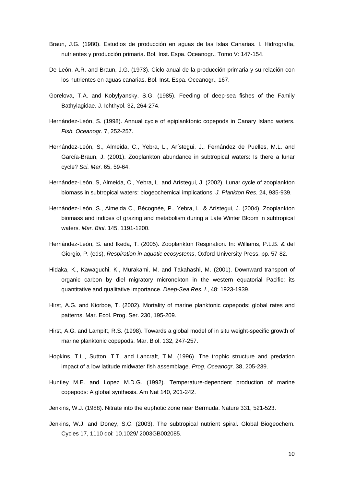- Braun, J.G. (1980). Estudios de producción en aguas de las Islas Canarias. I. Hidrografía, nutrientes y producción primaria. Bol. Inst. Espa. Oceanogr., Tomo V: 147-154.
- De León, A.R. and Braun, J.G. (1973). Ciclo anual de la producción primaria y su relación con los nutrientes en aguas canarias. Bol. Inst. Espa. Oceanogr., 167.
- Gorelova, T.A. and Kobylyansky, S.G. (1985). Feeding of deep-sea fishes of the Family Bathylagidae. J. Ichthyol. 32, 264-274.
- Hernández-León, S. (1998). Annual cycle of epiplanktonic copepods in Canary Island waters. *Fish. Oceanogr*. 7, 252-257.
- Hernández-León, S., Almeida, C., Yebra, L., Arístegui, J., Fernández de Puelles, M.L. and García-Braun, J. (2001). Zooplankton abundance in subtropical waters: Is there a lunar cycle? *Sci. Mar.* 65, 59-64.
- Hernández-León, S, Almeida, C., Yebra, L. and Arístegui, J. (2002). Lunar cycle of zooplankton biomass in subtropical waters: biogeochemical implications. *J. Plankton Res.* 24, 935-939.
- Hernández-León, S., Almeida C., Bécognée, P., Yebra, L. & Arístegui, J. (2004). Zooplankton biomass and indices of grazing and metabolism during a Late Winter Bloom in subtropical waters. *Mar. Biol*. 145, 1191-1200.
- Hernández-León, S. and Ikeda, T. (2005). Zooplankton Respiration. In: Williams, P.L.B. & del Giorgio, P. (eds), *Respiration in aquatic ecosystems*, Oxford University Press, pp. 57-82.
- Hidaka, K., Kawaguchi, K., Murakami, M. and Takahashi, M. (2001). Downward transport of organic carbon by diel migratory micronekton in the western equatorial Pacific: its quantitative and qualitative importance. *Deep-Sea Res. I*., 48: 1923-1939.
- Hirst, A.G. and Kiorboe, T. (2002). Mortality of marine planktonic copepods: global rates and patterns. Mar. Ecol. Prog. Ser. 230, 195-209.
- Hirst, A.G. and Lampitt, R.S. (1998). Towards a global model of in situ weight-specific growth of marine planktonic copepods. Mar. Biol. 132, 247-257.
- Hopkins, T.L., Sutton, T.T. and Lancraft, T.M. (1996). The trophic structure and predation impact of a low latitude midwater fish assemblage. *Prog. Oceanogr*. 38, 205-239.
- Huntley M.E. and Lopez M.D.G. (1992). Temperature-dependent production of marine copepods: A global synthesis. Am Nat 140, 201-242.
- Jenkins, W.J. (1988). Nitrate into the euphotic zone near Bermuda. Nature 331, 521-523.
- Jenkins, W.J. and Doney, S.C. (2003). The subtropical nutrient spiral. Global Biogeochem. Cycles 17, 1110 doi: 10.1029/ 2003GB002085.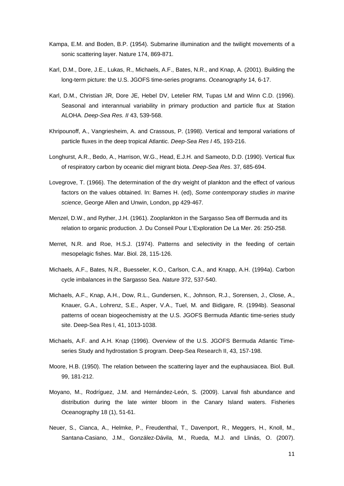- Kampa, E.M. and Boden, B.P. (1954). Submarine illumination and the twilight movements of a sonic scattering layer. Nature 174, 869-871.
- Karl, D.M., Dore, J.E., Lukas, R., Michaels, A.F., Bates, N.R., and Knap, A. (2001). Building the long-term picture: the U.S. JGOFS time-series programs. *Oceanography* 14, 6-17.
- Karl, D.M., Christian JR, Dore JE, Hebel DV, Letelier RM, Tupas LM and Winn C.D. (1996). Seasonal and interannual variability in primary production and particle flux at Station ALOHA. *Deep-Sea Res. II* 43, 539-568.
- Khripounoff, A., Vangriesheim, A. and Crassous, P. (1998). Vertical and temporal variations of particle fluxes in the deep tropical Atlantic. *Deep-Sea Res I* 45, 193-216.
- Longhurst, A.R., Bedo, A., Harrison, W.G., Head, E.J.H. and Sameoto, D.D. (1990). Vertical flux of respiratory carbon by oceanic diel migrant biota. *Deep-Sea Res*. 37, 685-694.
- Lovegrove, T. (1966). The determination of the dry weight of plankton and the effect of various factors on the values obtained. In: Barnes H. (ed), *Some contemporary studies in marine science*, George Allen and Unwin, London, pp 429-467.
- Menzel, D.W., and Ryther, J.H. (1961). Zooplankton in the Sargasso Sea off Bermuda and its relation to organic production. J. Du Conseil Pour L'Exploration De La Mer. 26: 250-258.
- Merret, N.R. and Roe, H.S.J. (1974). Patterns and selectivity in the feeding of certain mesopelagic fishes. Mar. Biol. 28, 115-126.
- Michaels, A.F., Bates, N.R., Buesseler, K.O., Carlson, C.A., and Knapp, A.H. (1994a). Carbon cycle imbalances in the Sargasso Sea. *Nature* 372, 537-540.
- Michaels, A.F., Knap, A.H., Dow, R.L., Gundersen, K., Johnson, R.J., Sorensen, J., Close, A., Knauer, G.A., Lohrenz, S.E., Asper, V.A., Tuel, M. and Bidigare, R. (1994b). Seasonal patterns of ocean biogeochemistry at the U.S. JGOFS Bermuda Atlantic time-series study site. Deep-Sea Res I, 41, 1013-1038.
- Michaels, A.F. and A.H. Knap (1996). Overview of the U.S. JGOFS Bermuda Atlantic Timeseries Study and hydrostation S program. Deep-Sea Research II, 43, 157-198.
- Moore, H.B. (1950). The relation between the scattering layer and the euphausiacea. Biol. Bull. 99, 181-212.
- Moyano, M., Rodríguez, J.M. and Hernández-León, S. (2009). Larval fish abundance and distribution during the late winter bloom in the Canary Island waters. Fisheries Oceanography 18 (1), 51-61.
- Neuer, S., Cianca, A., Helmke, P., Freudenthal, T., Davenport, R., Meggers, H., Knoll, M., Santana-Casiano, J.M., González-Dávila, M., Rueda, M.J. and Llinás, O. (2007).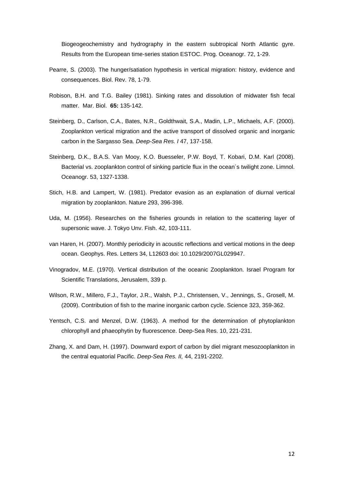Biogeogeochemistry and hydrography in the eastern subtropical North Atlantic gyre. Results from the European time-series station ESTOC. Prog. Oceanogr. 72, 1-29.

- Pearre, S. (2003). The hunger/satiation hypothesis in vertical migration: history, evidence and consequences. Biol. Rev. 78, 1-79.
- Robison, B.H. and T.G. Bailey (1981). Sinking rates and dissolution of midwater fish fecal matter. Mar. Biol. **65:** 135-142.
- Steinberg, D., Carlson, C.A., Bates, N.R., Goldthwait, S.A., Madin, L.P., Michaels, A.F. (2000). Zooplankton vertical migration and the active transport of dissolved organic and inorganic carbon in the Sargasso Sea. *Deep-Sea Res. I* 47, 137-158.
- Steinberg, D.K., B.A.S. Van Mooy, K.O. Buesseler, P.W. Boyd, T. Kobari, D.M. Karl (2008). Bacterial vs. zooplankton control of sinking particle flux in the ocean´s twilight zone. Limnol. Oceanogr. 53, 1327-1338.
- Stich, H.B. and Lampert, W. (1981). Predator evasion as an explanation of diurnal vertical migration by zooplankton. Nature 293, 396-398.
- Uda, M. (1956). Researches on the fisheries grounds in relation to the scattering layer of supersonic wave. J. Tokyo Unv. Fish. 42, 103-111.
- van Haren, H. (2007). Monthly periodicity in acoustic reflections and vertical motions in the deep ocean. Geophys. Res. Letters 34, L12603 doi: 10.1029/2007GL029947.
- Vinogradov, M.E. (1970). Vertical distribution of the oceanic Zooplankton. Israel Program for Scientific Translations, Jerusalem, 339 p.
- Wilson, R.W., Millero, F.J., Taylor, J.R., Walsh, P.J., Christensen, V., Jennings, S., Grosell, M. (2009). Contribution of fish to the marine inorganic carbon cycle. Science 323, 359-362.
- Yentsch, C.S. and Menzel, D.W. (1963). A method for the determination of phytoplankton chlorophyll and phaeophytin by fluorescence. Deep-Sea Res. 10, 221-231.
- Zhang, X. and Dam, H. (1997). Downward export of carbon by diel migrant mesozooplankton in the central equatorial Pacific. *Deep-Sea Res. II,* 44, 2191-2202.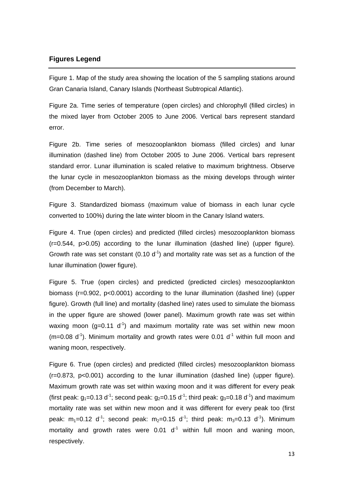#### **Figures Legend**

Figure 1. Map of the study area showing the location of the 5 sampling stations around Gran Canaria Island, Canary Islands (Northeast Subtropical Atlantic).

Figure 2a. Time series of temperature (open circles) and chlorophyll (filled circles) in the mixed layer from October 2005 to June 2006. Vertical bars represent standard error.

Figure 2b. Time series of mesozooplankton biomass (filled circles) and lunar illumination (dashed line) from October 2005 to June 2006. Vertical bars represent standard error. Lunar illumination is scaled relative to maximum brightness. Observe the lunar cycle in mesozooplankton biomass as the mixing develops through winter (from December to March).

Figure 3. Standardized biomass (maximum value of biomass in each lunar cycle converted to 100%) during the late winter bloom in the Canary Island waters.

Figure 4. True (open circles) and predicted (filled circles) mesozooplankton biomass (r=0.544, p>0.05) according to the lunar illumination (dashed line) (upper figure). Growth rate was set constant (0.10  $d^{-1}$ ) and mortality rate was set as a function of the lunar illumination (lower figure).

Figure 5. True (open circles) and predicted (predicted circles) mesozooplankton biomass (r=0.902, p<0.0001) according to the lunar illumination (dashed line) (upper figure). Growth (full line) and mortality (dashed line) rates used to simulate the biomass in the upper figure are showed (lower panel). Maximum growth rate was set within waxing moon ( $g=0.11 d^{-1}$ ) and maximum mortality rate was set within new moon (m=0.08  $d^{-1}$ ). Minimum mortality and growth rates were 0.01  $d^{-1}$  within full moon and waning moon, respectively.

Figure 6. True (open circles) and predicted (filled circles) mesozooplankton biomass (r=0.873, p<0.001) according to the lunar illumination (dashed line) (upper figure). Maximum growth rate was set within waxing moon and it was different for every peak (first peak:  $g_1=0.13$  d<sup>-1</sup>; second peak:  $g_2=0.15$  d<sup>-1</sup>; third peak:  $g_3=0.18$  d<sup>-1</sup>) and maximum mortality rate was set within new moon and it was different for every peak too (first peak:  $m_1=0.12$  d<sup>-1</sup>; second peak:  $m_2=0.15$  d<sup>-1</sup>; third peak:  $m_3=0.13$  d<sup>-1</sup>). Minimum mortality and growth rates were  $0.01 \, \mathrm{d}^{-1}$  within full moon and waning moon, respectively.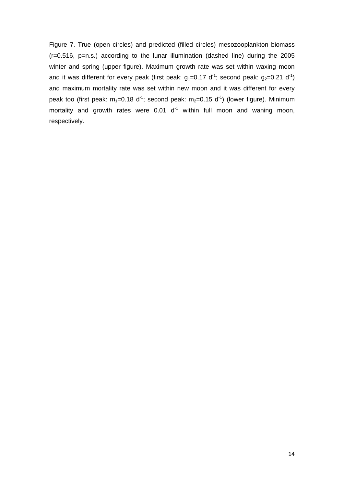Figure 7. True (open circles) and predicted (filled circles) mesozooplankton biomass  $(r=0.516, p=n.s.)$  according to the lunar illumination (dashed line) during the 2005 winter and spring (upper figure). Maximum growth rate was set within waxing moon and it was different for every peak (first peak:  $g_1=0.17$  d<sup>-1</sup>; second peak:  $g_2=0.21$  d<sup>-1</sup>) and maximum mortality rate was set within new moon and it was different for every peak too (first peak:  $m_1=0.18$  d<sup>-1</sup>; second peak:  $m_2=0.15$  d<sup>-1</sup>) (lower figure). Minimum mortality and growth rates were  $0.01 \, \mathrm{d}^{-1}$  within full moon and waning moon, respectively.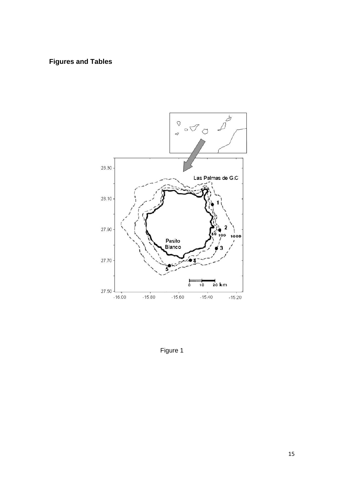### **Figures and Tables**



Figure 1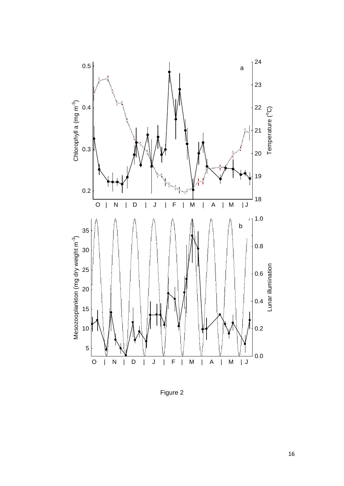

Figure 2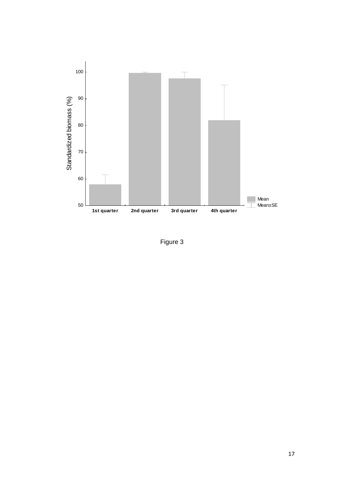

Figure 3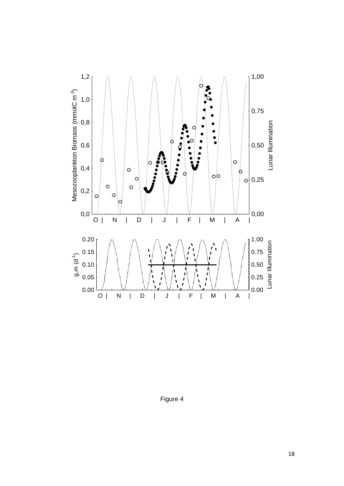

Figure 4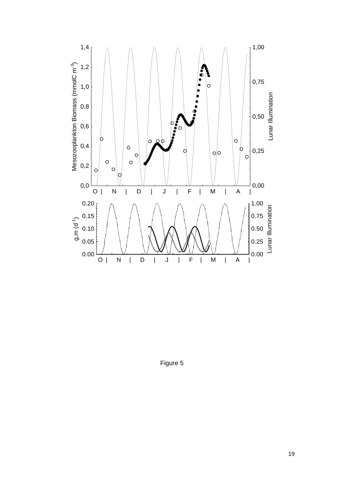

Figure 5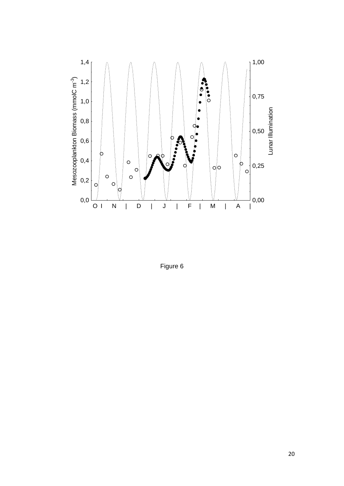![](_page_20_Figure_0.jpeg)

Figure 6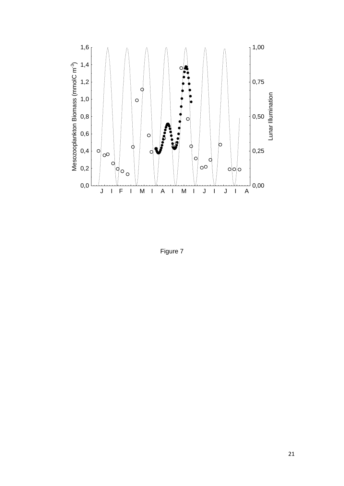![](_page_21_Figure_0.jpeg)

Figure 7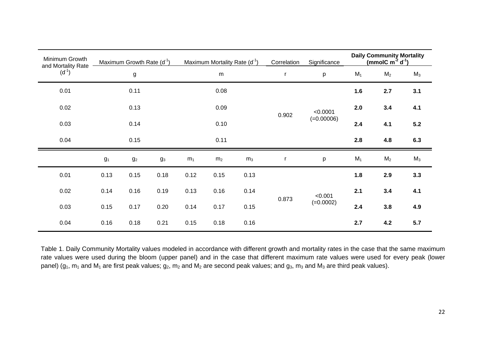| Minimum Growth<br>and Mortality Rate<br>$(d^{-1})$ | Maximum Growth Rate $(d-1)$ |             |       | Maximum Mortality Rate (d <sup>-1</sup> ) |                |                | Correlation | <b>Daily Community Mortality</b><br>(mmolC $m^{-2} d^{-1}$ )<br>Significance |       |                |       |
|----------------------------------------------------|-----------------------------|-------------|-------|-------------------------------------------|----------------|----------------|-------------|------------------------------------------------------------------------------|-------|----------------|-------|
|                                                    | g                           |             |       | ${\sf m}$                                 |                |                |             | р                                                                            | $M_1$ | M <sub>2</sub> | $M_3$ |
| 0.01                                               | 0.11                        |             |       | 0.08                                      |                |                | 0.902       | < 0.0001<br>$(=0.00006)$                                                     | 1.6   | 2.7            | 3.1   |
| 0.02                                               | 0.13                        |             |       | 0.09                                      |                |                |             |                                                                              | 2.0   | 3.4            | 4.1   |
| 0.03                                               | 0.14<br>0.15                |             |       | 0.10<br>0.11                              |                |                |             |                                                                              | 2.4   | 4.1            | $5.2$ |
| 0.04                                               |                             |             |       |                                           |                |                |             |                                                                              | 2.8   | 4.8            | 6.3   |
|                                                    | $g_1$                       | $g_{\rm 2}$ | $g_3$ | m <sub>1</sub>                            | m <sub>2</sub> | m <sub>3</sub> |             | р                                                                            | $M_1$ | M <sub>2</sub> | $M_3$ |
| 0.01                                               | 0.13                        | 0.15        | 0.18  | 0.12                                      | 0.15           | 0.13           | 0.873       | < 0.001<br>$(=0.0002)$                                                       | 1.8   | 2.9            | 3.3   |
| 0.02                                               | 0.14                        | 0.16        | 0.19  | 0.13                                      | 0.16           | 0.14           |             |                                                                              | 2.1   | 3.4            | 4.1   |
| 0.03                                               | 0.15                        | 0.17        | 0.20  | 0.14                                      | 0.17           | 0.15           |             |                                                                              | 2.4   | 3.8            | 4.9   |
| 0.04                                               | 0.16                        | 0.18        | 0.21  | 0.15                                      | 0.18           | 0.16           |             |                                                                              | 2.7   | 4.2            | 5.7   |

Table 1. Daily Community Mortality values modeled in accordance with different growth and mortality rates in the case that the same maximum rate values were used during the bloom (upper panel) and in the case that different maximum rate values were used for every peak (lower panel) ( $g_1$ ,  $m_1$  and  $M_1$  are first peak values;  $g_2$ ,  $m_2$  and  $M_2$  are second peak values; and  $g_3$ ,  $m_3$  and  $M_3$  are third peak values).